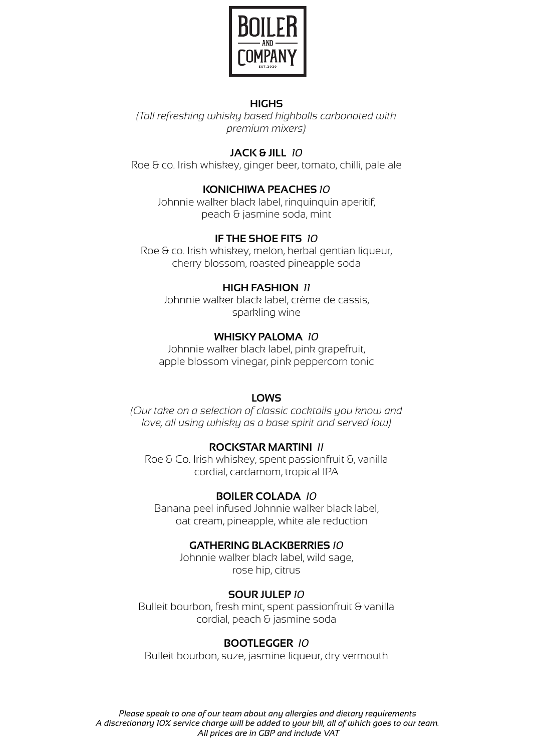

### **HIGHS**

*(Tall refreshing whisky based highballs carbonated with premium mixers)* 

# **JACK & JILL** *10*

Roe & co. Irish whiskey, ginger beer, tomato, chilli, pale ale

### **KONICHIWA PEACHES** *10*

Johnnie walker black label, rinquinquin aperitif, peach & jasmine soda, mint

## **IF THE SHOE FITS** *10*

Roe & co. Irish whiskey, melon, herbal gentian liqueur, cherry blossom, roasted pineapple soda

### **HIGH FASHION** *11*

Roe & Co. Irish whiskey, spent passionfruit &, vanilla cordial, cardamom, tropical IPA

Johnnie walker black label, crème de cassis, sparkling wine

## **WHISKY PALOMA** *10*

Johnnie walker black label, pink grapefruit, apple blossom vinegar, pink peppercorn tonic

### **LOWS**

*(Our take on a selection of classic cocktails you know and love, all using whisky as a base spirit and served low)* 

### **ROCKSTAR MARTINI** *11*

### **BOILER COLADA** *10*

Banana peel infused Johnnie walker black label, oat cream, pineapple, white ale reduction

#### **GATHERING BLACKBERRIES** *10*

Johnnie walker black label, wild sage, rose hip, citrus

### **SOUR JULEP** *10*

Bulleit bourbon, fresh mint, spent passionfruit & vanilla cordial, peach & jasmine soda

### **BOOTLEGGER** *10*

Bulleit bourbon, suze, jasmine liqueur, dry vermouth

*Please speak to one of our team about any allergies and dietary requirements A discretionary 10% service charge will be added to your bill, all of which goes to our team. All prices are in GBP and include VAT*